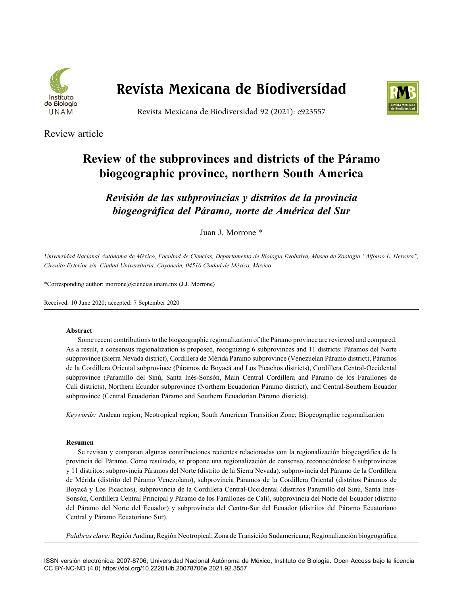

# **Revista Mexicana de Biodiversidad**



Revista Mexicana de Biodiversidad 92 (2021): e923557

Review article

## **Review of the subprovinces and districts of the Páramo biogeographic province, northern South America**

*Revisión de las subprovincias y distritos de la provincia biogeográfica del Páramo, norte de América del Sur*

Juan J. Morrone \*

*Universidad Nacional Autónoma de México, Facultad de Ciencias, Departamento de Biología Evolutiva, Museo de Zoología "Alfonso L. Herrera", Circuito Exterior s/n, Ciudad Universitaria, Coyoacán, 04510 Ciudad de México, Mexico* 

\*Corresponding author: morrone@ciencias.unam.mx (J.J. Morrone)

Received: 10 June 2020; accepted: 7 September 2020

## **Abstract**

Some recent contributions to the biogeographic regionalization of the Páramo province are reviewed and compared. As a result, a consensus regionalization is proposed, recognizing 6 subprovinces and 11 districts: Páramos del Norte subprovince (Sierra Nevada district), Cordillera de Mérida Páramo subprovince (Venezuelan Páramo district), Páramos de la Cordillera Oriental subprovince (Páramos de Boyacá and Los Picachos districts), Cordillera Central-Occidental subprovince (Paramillo del Sinú, Santa Inés-Sonsón, Main Central Cordillera and Páramo de los Farallones de Cali districts), Northern Ecuador subprovince (Northern Ecuadorian Páramo district), and Central-Southern Ecuador subprovince (Central Ecuadorian Páramo and Southern Ecuadorian Páramo districts).

*Keywords:* Andean region; Neotropical region; South American Transition Zone; Biogeographic regionalization

#### **Resumen**

Se revisan y comparan algunas contribuciones recientes relacionadas con la regionalización biogeográfica de la provincia del Páramo. Como resultado, se propone una regionalización de consenso, reconociéndose 6 subprovincias y 11 distritos: subprovincia Páramos del Norte (distrito de la Sierra Nevada), subprovincia del Páramo de la Cordillera de Mérida (distrito del Páramo Venezolano), subprovincia Páramos de la Cordillera Oriental (distritos Páramos de Boyacá y Los Picachos), subprovincia de la Cordillera Central-Occidental (distritos Paramillo del Sinú, Santa Inés-Sonsón, Cordillera Central Principal y Páramo de los Farallones de Cali), subprovincia del Norte del Ecuador (distrito del Páramo del Norte del Ecuador) y subprovincia del Centro-Sur del Ecuador (distritos del Páramo Ecuatoriano Central y Páramo Ecuatoriano Sur).

*Palabras clave:* Región Andina; Región Neotropical; Zona de Transición Sudamericana; Regionalización biogeográfica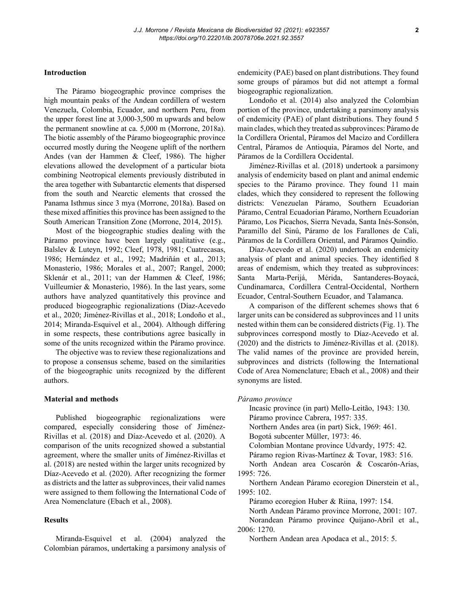#### **Introduction**

The Páramo biogeographic province comprises the high mountain peaks of the Andean cordillera of western Venezuela, Colombia, Ecuador, and northern Peru, from the upper forest line at 3,000-3,500 m upwards and below the permanent snowline at ca. 5,000 m (Morrone, 2018a). The biotic assembly of the Páramo biogeographic province occurred mostly during the Neogene uplift of the northern Andes (van der Hammen & Cleef, 1986). The higher elevations allowed the development of a particular biota combining Neotropical elements previously distributed in the area together with Subantarctic elements that dispersed from the south and Nearctic elements that crossed the Panama Isthmus since 3 mya (Morrone, 2018a). Based on these mixed affinities this province has been assigned to the South American Transition Zone (Morrone, 2014, 2015).

Most of the biogeographic studies dealing with the Páramo province have been largely qualitative (e.g., Balslev & Luteyn, 1992; Cleef, 1978, 1981; Cuatrecasas, 1986; Hernández et al., 1992; Madriñán et al., 2013; Monasterio, 1986; Morales et al., 2007; Rangel, 2000; Sklenár et al., 2011; van der Hammen & Cleef, 1986; Vuilleumier & Monasterio, 1986). In the last years, some authors have analyzed quantitatively this province and produced biogeographic regionalizations (Díaz-Acevedo et al., 2020; Jiménez-Rivillas et al., 2018; Londoño et al., 2014; Miranda-Esquivel et al., 2004). Although differing in some respects, these contributions agree basically in some of the units recognized within the Páramo province.

The objective was to review these regionalizations and to propose a consensus scheme, based on the similarities of the biogeographic units recognized by the different authors.

#### **Material and methods**

Published biogeographic regionalizations were compared, especially considering those of Jiménez-Rivillas et al. (2018) and Díaz-Acevedo et al. (2020). A comparison of the units recognized showed a substantial agreement, where the smaller units of Jiménez-Rivillas et al. (2018) are nested within the larger units recognized by Díaz-Acevedo et al. (2020). After recognizing the former as districts and the latter as subprovinces, their valid names were assigned to them following the International Code of Area Nomenclature (Ebach et al., 2008).

## **Results**

Miranda-Esquivel et al. (2004) analyzed the Colombian páramos, undertaking a parsimony analysis of endemicity (PAE) based on plant distributions. They found some groups of páramos but did not attempt a formal biogeographic regionalization.

Londoño et al. (2014) also analyzed the Colombian portion of the province, undertaking a parsimony analysis of endemicity (PAE) of plant distributions. They found 5 main clades, which they treated as subprovinces: Páramo de la Cordillera Oriental, Páramos del Macizo and Cordillera Central, Páramos de Antioquia, Páramos del Norte, and Páramos de la Cordillera Occidental.

Jiménez-Rivillas et al. (2018) undertook a parsimony analysis of endemicity based on plant and animal endemic species to the Páramo province. They found 11 main clades, which they considered to represent the following districts: Venezuelan Páramo, Southern Ecuadorian Páramo, Central Ecuadorian Páramo, Northern Ecuadorian Páramo, Los Picachos, Sierra Nevada, Santa Inés-Sonsón, Paramillo del Sinú, Páramo de los Farallones de Cali, Páramos de la Cordillera Oriental, and Páramos Quindío.

Díaz-Acevedo et al. (2020) undertook an endemicity analysis of plant and animal species. They identified 8 areas of endemism, which they treated as subprovinces: Santa Marta-Perijá, Mérida, Santanderes-Boyacá, Cundinamarca, Cordillera Central-Occidental, Northern Ecuador, Central-Southern Ecuador, and Talamanca.

A comparison of the different schemes shows that 6 larger units can be considered as subprovinces and 11 units nested within them can be considered districts (Fig. 1). The subprovinces correspond mostly to Díaz-Acevedo et al. (2020) and the districts to Jiménez-Rivillas et al. (2018). The valid names of the province are provided herein, subprovinces and districts (following the International Code of Area Nomenclature; Ebach et al., 2008) and their synonyms are listed.

#### *Páramo province*

Incasic province (in part) Mello-Leitão, 1943: 130. Páramo province Cabrera, 1957: 335.

Northern Andes area (in part) Sick, 1969: 461.

Bogotá subcenter Müller, 1973: 46.

Colombian Montane province Udvardy, 1975: 42.

Páramo region Rivas-Martínez & Tovar, 1983: 516.

North Andean area Coscarón & Coscarón-Arias, 1995: 726.

Northern Andean Páramo ecoregion Dinerstein et al., 1995: 102.

Páramo ecoregion Huber & Riina, 1997: 154.

North Andean Páramo province Morrone, 2001: 107.

Norandean Páramo province Quijano-Abril et al., 2006: 1270.

Northern Andean area Apodaca et al., 2015: 5.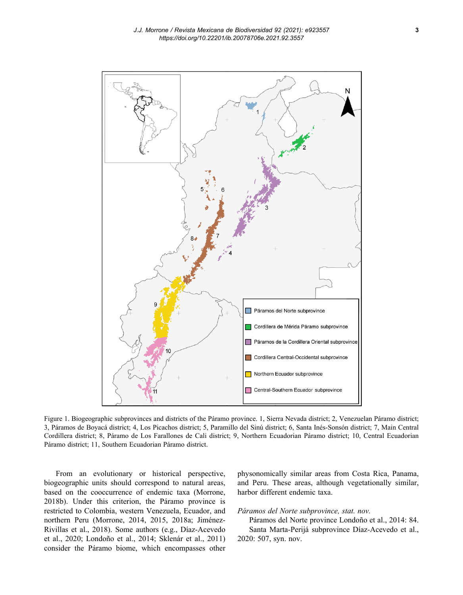

Figure 1. Biogeographic subprovinces and districts of the Páramo province. 1, Sierra Nevada district; 2, Venezuelan Páramo district; 3, Páramos de Boyacá district; 4, Los Picachos district; 5, Paramillo del Sinú district; 6, Santa Inés-Sonsón district; 7, Main Central Cordillera district; 8, Páramo de Los Farallones de Cali district; 9, Northern Ecuadorian Páramo district; 10, Central Ecuadorian Páramo district; 11, Southern Ecuadorian Páramo district.

From an evolutionary or historical perspective, biogeographic units should correspond to natural areas, based on the cooccurrence of endemic taxa (Morrone, 2018b). Under this criterion, the Páramo province is restricted to Colombia, western Venezuela, Ecuador, and northern Peru (Morrone, 2014, 2015, 2018a; Jiménez-Rivillas et al., 2018). Some authors (e.g., Díaz-Acevedo et al., 2020; Londoño et al., 2014; Sklenár et al., 2011) consider the Páramo biome, which encompasses other physonomically similar areas from Costa Rica, Panama, and Peru. These areas, although vegetationally similar, harbor different endemic taxa.

#### *Páramos del Norte subprovince, stat. nov.*

Páramos del Norte province Londoño et al., 2014: 84. Santa Marta-Perijá subprovince Díaz-Acevedo et al., 2020: 507, syn. nov.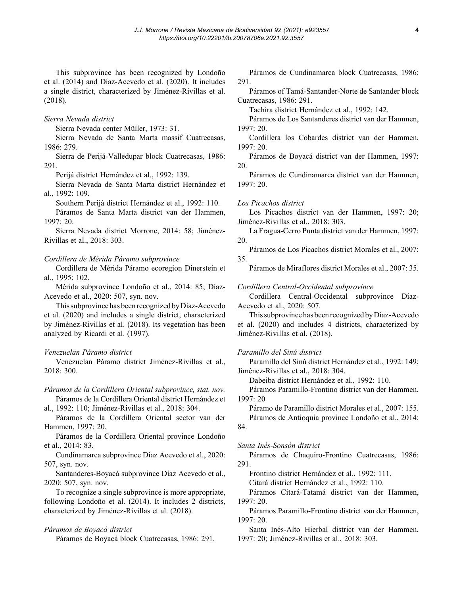This subprovince has been recognized by Londoño et al. (2014) and Díaz-Acevedo et al. (2020). It includes a single district, characterized by Jiménez-Rivillas et al. (2018).

#### *Sierra Nevada district*

Sierra Nevada center Müller, 1973: 31.

Sierra Nevada de Santa Marta massif Cuatrecasas, 1986: 279.

Sierra de Perijá-Valledupar block Cuatrecasas, 1986: 291.

Perijá district Hernández et al., 1992: 139.

Sierra Nevada de Santa Marta district Hernández et al., 1992: 109.

Southern Perijá district Hernández et al., 1992: 110.

Páramos de Santa Marta district van der Hammen, 1997: 20.

Sierra Nevada district Morrone, 2014: 58; Jiménez-Rivillas et al., 2018: 303.

#### *Cordillera de Mérida Páramo subprovince*

Cordillera de Mérida Páramo ecoregion Dinerstein et al., 1995: 102.

Mérida subprovince Londoño et al., 2014: 85; Díaz-Acevedo et al., 2020: 507, syn. nov.

This subprovince has been recognized by Díaz-Acevedo et al. (2020) and includes a single district, characterized by Jiménez-Rivillas et al. (2018). Its vegetation has been analyzed by Ricardi et al. (1997).

## *Venezuelan Páramo district*

Venezuelan Páramo district Jiménez-Rivillas et al., 2018: 300.

*Páramos de la Cordillera Oriental subprovince, stat. nov.*  Páramos de la Cordillera Oriental district Hernández et

al., 1992: 110; Jiménez-Rivillas et al., 2018: 304.

Páramos de la Cordillera Oriental sector van der Hammen, 1997: 20.

Páramos de la Cordillera Oriental province Londoño et al., 2014: 83.

Cundinamarca subprovince Díaz Acevedo et al., 2020: 507, syn. nov.

Santanderes-Boyacá subprovince Díaz Acevedo et al., 2020: 507, syn. nov.

To recognize a single subprovince is more appropriate, following Londoño et al. (2014). It includes 2 districts, characterized by Jiménez-Rivillas et al. (2018).

#### *Páramos de Boyacá district*

Páramos de Boyacá block Cuatrecasas, 1986: 291.

Páramos de Cundinamarca block Cuatrecasas, 1986: 291.

Páramos of Tamá-Santander-Norte de Santander block Cuatrecasas, 1986: 291.

Tachira district Hernández et al., 1992: 142.

Páramos de Los Santanderes district van der Hammen, 1997: 20.

Cordillera los Cobardes district van der Hammen,  $1997 \cdot 20$ 

Páramos de Boyacá district van der Hammen, 1997: 20.

Páramos de Cundinamarca district van der Hammen, 1997: 20.

## *Los Picachos district*

Los Picachos district van der Hammen, 1997: 20; Jiménez-Rivillas et al., 2018: 303.

La Fragua-Cerro Punta district van der Hammen, 1997: 20.

Páramos de Los Picachos district Morales et al., 2007: 35.

Páramos de Miraflores district Morales et al., 2007: 35.

#### *Cordillera Central-Occidental subprovince*

Cordillera Central-Occidental subprovince Díaz-Acevedo et al., 2020: 507.

This subprovince has been recognized by Díaz-Acevedo et al. (2020) and includes 4 districts, characterized by Jiménez-Rivillas et al. (2018).

## *Paramillo del Sinú district*

Paramillo del Sinú district Hernández et al., 1992: 149; Jiménez-Rivillas et al., 2018: 304.

Dabeiba district Hernández et al., 1992: 110.

Páramos Paramillo-Frontino district van der Hammen, 1997: 20

Páramo de Paramillo district Morales et al., 2007: 155. Páramos de Antioquia province Londoño et al., 2014:

## 84.

#### *Santa Inés-Sonsón district*

Páramos de Chaquiro-Frontino Cuatrecasas, 1986: 291.

Frontino district Hernández et al., 1992: 111.

Citará district Hernández et al., 1992: 110.

Páramos Citará-Tatamá district van der Hammen, 1997: 20.

Páramos Paramillo-Frontino district van der Hammen, 1997: 20.

Santa Inés-Alto Hierbal district van der Hammen, 1997: 20; Jiménez-Rivillas et al., 2018: 303.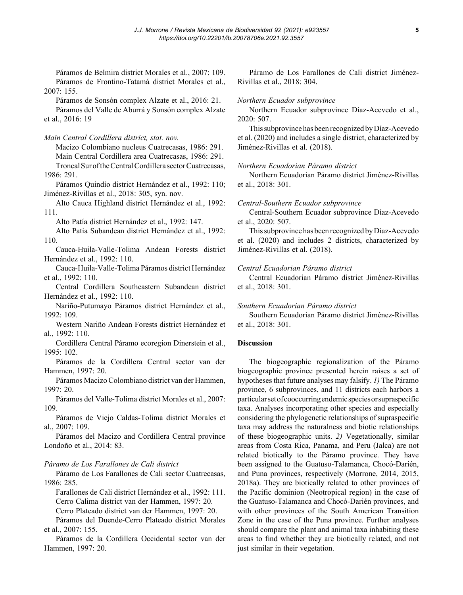Páramos de Belmira district Morales et al., 2007: 109. Páramos de Frontino-Tatamá district Morales et al., 2007: 155.

Páramos de Sonsón complex Alzate et al., 2016: 21. Páramos del Valle de Aburrá y Sonsón complex Alzate et al., 2016: 19

*Main Central Cordillera district, stat. nov.* 

Macizo Colombiano nucleus Cuatrecasas, 1986: 291. Main Central Cordillera area Cuatrecasas, 1986: 291. Troncal Sur of the Central Cordillera sector Cuatrecasas, 1986: 291.

Páramos Quindío district Hernández et al., 1992: 110; Jiménez-Rivillas et al., 2018: 305, syn. nov.

Alto Cauca Highland district Hernández et al., 1992: 111.

Alto Patía district Hernández et al., 1992: 147.

Alto Patía Subandean district Hernández et al., 1992: 110.

Cauca-Huila-Valle-Tolima Andean Forests district Hernández et al., 1992: 110.

Cauca-Huila-Valle-Tolima Páramos district Hernández et al., 1992: 110.

Central Cordillera Southeastern Subandean district Hernández et al., 1992: 110.

Nariño-Putumayo Páramos district Hernández et al., 1992: 109.

Western Nariño Andean Forests district Hernández et al., 1992: 110.

Cordillera Central Páramo ecoregion Dinerstein et al., 1995: 102.

Páramos de la Cordillera Central sector van der Hammen, 1997: 20.

Páramos Macizo Colombiano district van der Hammen, 1997: 20.

Páramos del Valle-Tolima district Morales et al., 2007: 109.

Páramos de Viejo Caldas-Tolima district Morales et al., 2007: 109.

Páramos del Macizo and Cordillera Central province Londoño et al., 2014: 83.

## *Páramo de Los Farallones de Cali district*

Páramo de Los Farallones de Cali sector Cuatrecasas, 1986: 285.

Farallones de Cali district Hernández et al., 1992: 111. Cerro Calima district van der Hammen, 1997: 20.

Cerro Plateado district van der Hammen, 1997: 20.

Páramos del Duende-Cerro Plateado district Morales et al., 2007: 155.

Páramos de la Cordillera Occidental sector van der Hammen, 1997: 20.

Páramo de Los Farallones de Cali district Jiménez-Rivillas et al., 2018: 304.

#### *Northern Ecuador subprovince*

Northern Ecuador subprovince Díaz-Acevedo et al., 2020: 507.

This subprovince has been recognized by Díaz-Acevedo et al. (2020) and includes a single district, characterized by Jiménez-Rivillas et al. (2018).

#### *Northern Ecuadorian Páramo district*

Northern Ecuadorian Páramo district Jiménez-Rivillas et al., 2018: 301.

#### *Central-Southern Ecuador subprovince*

Central-Southern Ecuador subprovince Díaz-Acevedo et al., 2020: 507.

This subprovince has been recognized by Díaz-Acevedo et al. (2020) and includes 2 districts, characterized by Jiménez-Rivillas et al. (2018).

## *Central Ecuadorian Páramo district*

Central Ecuadorian Páramo district Jiménez-Rivillas et al., 2018: 301.

#### *Southern Ecuadorian Páramo district*

Southern Ecuadorian Páramo district Jiménez-Rivillas et al., 2018: 301.

## **Discussion**

The biogeographic regionalization of the Páramo biogeographic province presented herein raises a set of hypotheses that future analyses may falsify. *1)* The Páramo province, 6 subprovinces, and 11 districts each harbors a particular set of cooccurring endemic species or supraspecific taxa. Analyses incorporating other species and especially considering the phylogenetic relationships of supraspecific taxa may address the naturalness and biotic relationships of these biogeographic units. *2)* Vegetationally, similar areas from Costa Rica, Panama, and Peru (Jalca) are not related biotically to the Páramo province. They have been assigned to the Guatuso-Talamanca, Chocó-Darién, and Puna provinces, respectively (Morrone, 2014, 2015, 2018a). They are biotically related to other provinces of the Pacific dominion (Neotropical region) in the case of the Guatuso-Talamanca and Chocó-Darién provinces, and with other provinces of the South American Transition Zone in the case of the Puna province. Further analyses should compare the plant and animal taxa inhabiting these areas to find whether they are biotically related, and not just similar in their vegetation.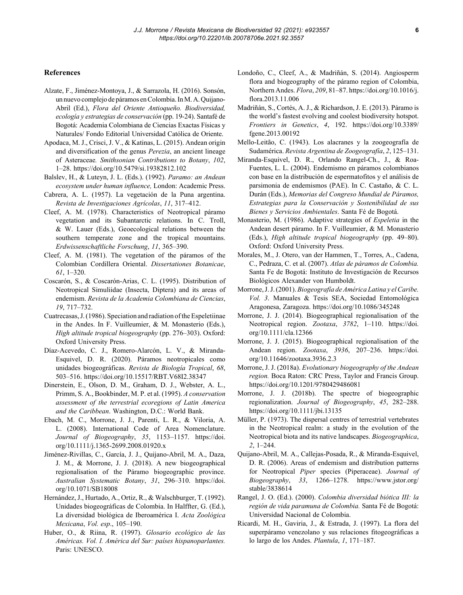#### **References**

- Alzate, F., Jiménez-Montoya, J., & Sarrazola, H. (2016). Sonsón, un nuevo complejo de páramos en Colombia. In M. A. Quijano-Abril (Ed.), *Flora del Oriente Antioqueño. Biodiversidad, ecología y estrategias de conservación* (pp. 19-24). Santafé de Bogotá: Academia Colombiana de Ciencias Exactas Físicas y Naturales/ Fondo Editorial Universidad Católica de Oriente.
- Apodaca, M. J., Crisci, J. V., & Katinas, L. (2015). Andean origin and diversification of the genus *Perezia*, an ancient lineage of Asteraceae*. Smithsonian Contributions to Botany*, *102*, 1–28. https://doi.org/10.5479/si.19382812.102
- Balslev, H., & Luteyn, J. L. (Eds.). (1992). *Paramo: an Andean ecosystem under human influence,* London: Academic Press.
- Cabrera, A. L. (1957). La vegetación de la Puna argentina. *Revista de Investigaciones Agrícolas*, *11*, 317–412.
- Cleef, A. M. (1978). Characteristics of Neotropical páramo vegetation and its Subantarctic relations. In C. Troll, & W. Lauer (Eds.), Geoecological relations between the southern temperate zone and the tropical mountains. *Erdwissenschaftliche Forschung*, *11*, 365–390.
- Cleef, A. M. (1981). The vegetation of the páramos of the Colombian Cordillera Oriental. *Dissertationes Botanicae*, *61*, 1–320.
- Coscarón, S., & Coscarón-Arias, C. L. (1995). Distribution of Neotropical Simuliidae (Insecta, Diptera) and its areas of endemism. *Revista de la Academia Colombiana de Ciencias*, *19*, 717–732.
- Cuatrecasas, J. (1986). Speciation and radiation of the Espeletiinae in the Andes. In F. Vuilleumier, & M. Monasterio (Eds.), *High altitude tropical biogeography* (pp. 276–303). Oxford: Oxford University Press.
- Díaz-Acevedo, C. J., Romero-Alarcón, L. V., & Miranda-Esquivel, D. R. (2020). Páramos neotropicales como unidades biogeográficas. *Revista de Biología Tropical*, *68*, 503–516. https://doi.org/10.15517/RBT.V68I2.38347
- Dinerstein, E., Olson, D. M., Graham, D. J., Webster, A. L., Primm, S. A., Bookbinder, M. P. et al. (1995). *A conservation assessment of the terrestrial ecoregions of Latin America and the Caribbean*. Washington, D.C.: World Bank.
- Ebach, M. C., Morrone, J. J., Parenti, L. R., & Viloria, A. L. (2008). International Code of Area Nomenclature. *Journal of Biogeography*, *35*, 1153–1157. https://doi. org/10.1111/j.1365-2699.2008.01920.x
- Jiménez-Rivillas, C., García, J. J., Quijano-Abril, M. A., Daza, J. M., & Morrone, J. J. (2018). A new biogeographical regionalisation of the Páramo biogeographic province. *Australian Systematic Botany*, *31*, 296–310. https://doi. org/10.1071/SB18008
- Hernández, J., Hurtado, A., Ortiz, R., & Walschburger, T. (1992). Unidades biogeográficas de Colombia. In Halffter, G. (Ed.), La diversidad biológica de Iberoamérica I. *Acta Zoológica Mexicana*, *Vol. esp*., 105–190.
- Huber, O., & Riina, R. (1997). *Glosario ecológico de las Américas. Vol. I. América del Sur: países hispanoparlantes.* Paris: UNESCO.
- Londoño, C., Cleef, A., & Madriñán, S. (2014). Angiosperm flora and biogeography of the páramo region of Colombia, Northern Andes. *Flora*, *209*, 81–87. https://doi.org/10.1016/j. flora.2013.11.006
- Madriñán, S., Cortés, A. J., & Richardson, J. E. (2013). Páramo is the world's fastest evolving and coolest biodiversity hotspot. *Frontiers in Genetics*, *4*, 192. https://doi.org/10.3389/ fgene.2013.00192
- Mello-Leitão, C. (1943). Los alacranes y la zoogeografía de Sudamérica. *Revista Argentina de Zoogeografía*, *2*, 125–131.
- Miranda-Esquivel, D. R., Orlando Rangel-Ch., J., & Roa-Fuentes, L. L. (2004). Endemismo en páramos colombianos con base en la distribución de espermatofitos y el análisis de parsimonia de endemismos (PAE). In C. Castaño, & C. L. Durán (Eds.), *Memorias del Congreso Mundial de Páramos, Estrategias para la Conservación y Sostenibilidad de sus Bienes y Servicios Ambientales*. Santa Fé de Bogotá.
- Monasterio, M. (1986). Adaptive strategies of *Espeletia* in the Andean desert páramo. In F. Vuilleumier, & M. Monasterio (Eds.), *High altitude tropical biogeography* (pp. 49–80). Oxford: Oxford University Press.
- Morales, M., J. Otero, van der Hammen, T., Torres, A., Cadena, C., Pedraza, C. et al. (2007). *Atlas de páramos de Colombia.*  Santa Fe de Bogotá: Instituto de Investigación de Recursos Biológicos Alexander von Humboldt.
- Morrone, J. J. (2001). *Biogeografía de América Latina y el Caribe. Vol. 3*. Manuales & Tesis SEA, Sociedad Entomológica Aragonesa, Zaragoza. https://doi.org/10.1086/345248
- Morrone, J. J. (2014). Biogeographical regionalisation of the Neotropical region. *Zootaxa*, *3782*, 1–110. https://doi. org/10.1111/cla.12366
- Morrone, J. J. (2015). Biogeographical regionalisation of the Andean region. *Zootaxa*, *3936*, 207–236. https://doi. org/10.11646/zootaxa.3936.2.3
- Morrone, J. J. (2018a). *Evolutionary biogeography of the Andean region.* Boca Raton: CRC Press, Taylor and Francis Group. https://doi.org/10.1201/9780429486081
- Morrone, J. J. (2018b). The spectre of biogeographic regionalization. *Journal of Biogeography*, *45*, 282–288. https://doi.org/10.1111/jbi.13135
- Müller, P. (1973). The dispersal centres of terrestrial vertebrates in the Neotropical realm: a study in the evolution of the Neotropical biota and its native landscapes. *Biogeographica*, *2*, 1–244.
- Quijano-Abril, M. A., Callejas-Posada, R., & Miranda-Esquivel, D. R. (2006). Areas of endemism and distribution patterns for Neotropical *Piper* species (Piperaceae). *Journal of Biogeography*, *33*, 1266–1278. https://www.jstor.org/ stable/3838614
- Rangel, J. O. (Ed.). (2000). *Colombia diversidad biótica III: la región de vida paramuna de Colombia.* Santa Fé de Bogotá: Universidad Nacional de Colombia.
- Ricardi, M. H., Gaviria, J., & Estrada, J. (1997). La flora del superpáramo venezolano y sus relaciones fitogeográficas a lo largo de los Andes. *Plantula*, *1*, 171–187.